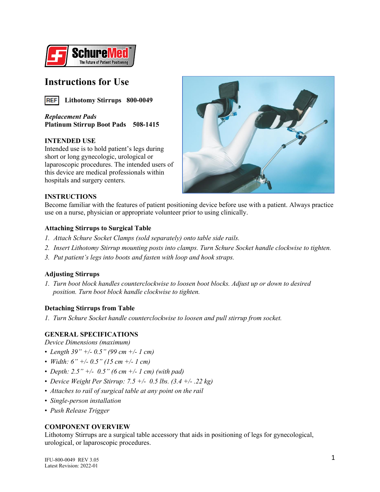

## **Instructions for Use**



*Replacement Pads* **Platinum Stirrup Boot Pads 508-1415**

## **INTENDED USE**

Intended use is to hold patient's legs during short or long gynecologic, urological or laparoscopic procedures. The intended users of this device are medical professionals within hospitals and surgery centers.



## **INSTRUCTIONS**

Become familiar with the features of patient positioning device before use with a patient. Always practice use on a nurse, physician or appropriate volunteer prior to using clinically.

## **Attaching Stirrups to Surgical Table**

- *1. Attach Schure Socket Clamps (sold separately) onto table side rails.*
- *2. Insert Lithotomy Stirrup mounting posts into clamps. Turn Schure Socket handle clockwise to tighten.*
- *3. Put patient's legs into boots and fasten with loop and hook straps.*

## **Adjusting Stirrups**

*1. Turn boot block handles counterclockwise to loosen boot blocks. Adjust up or down to desired position. Turn boot block handle clockwise to tighten.*

#### **Detaching Stirrups from Table**

*1. Turn Schure Socket handle counterclockwise to loosen and pull stirrup from socket.*

## **GENERAL SPECIFICATIONS**

*Device Dimensions (maximum)*

- *Length 39" +/- 0.5" (99 cm +/- 1 cm)*
- *Width: 6" +/- 0.5" (15 cm +/- 1 cm)*
- *Depth: 2.5" +/- 0.5" (6 cm +/- 1 cm) (with pad)*
- *Device Weight Per Stirrup: 7.5 +/- 0.5 lbs. (3.4 +/- .22 kg)*
- *Attaches to rail of surgical table at any point on the rail*
- *Single-person installation*
- *Push Release Trigger*

## **COMPONENT OVERVIEW**

Lithotomy Stirrups are a surgical table accessory that aids in positioning of legs for gynecological, urological, or laparoscopic procedures.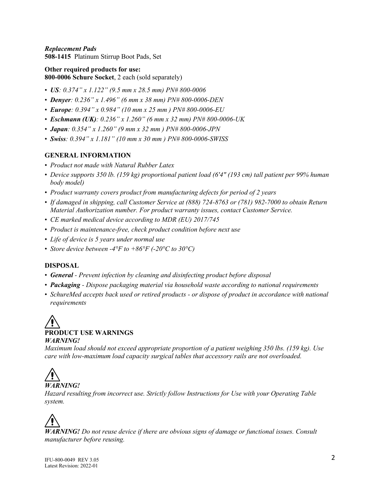*Replacement Pads* **508-1415** Platinum Stirrup Boot Pads, Set

**Other required products for use: 800-0006 Schure Socket**, 2 each (sold separately)

- *US: 0.374" x 1.122" (9.5 mm x 28.5 mm) PN# 800-0006*
- *Denyer: 0.236" x 1.496" (6 mm x 38 mm) PN# 800-0006-DEN*
- *Europe: 0.394" x 0.984" (10 mm x 25 mm ) PN# 800-0006-EU*
- *Eschmann (UK): 0.236" x 1.260" (6 mm x 32 mm) PN# 800-0006-UK*
- *Japan: 0.354" x 1.260" (9 mm x 32 mm ) PN# 800-0006-JPN*
- *Swiss: 0.394" x 1.181" (10 mm x 30 mm ) PN# 800-0006-SWISS*

## **GENERAL INFORMATION**

- *Product not made with Natural Rubber Latex*
- *Device supports 350 lb. (159 kg) proportional patient load (6'4" (193 cm) tall patient per 99% human body model)*
- *Product warranty covers product from manufacturing defects for period of 2 years*
- *If damaged in shipping, call Customer Service at (888) 724-8763 or (781) 982-7000 to obtain Return Material Authorization number. For product warranty issues, contact Customer Service.*
- *CE marked medical device according to MDR (EU) 2017/745*
- *Product is maintenance-free, check product condition before next use*
- *Life of device is 5 years under normal use*
- *Store device between -4°F to +86°F (-20°C to 30°C)*

## **DISPOSAL**

- *General - Prevent infection by cleaning and disinfecting product before disposal*
- *Packaging - Dispose packaging material via household waste according to national requirements*
- *SchureMed accepts back used or retired products - or dispose of product in accordance with national requirements*

## **PRODUCT USE WARNINGS** *WARNING!*

*Maximum load should not exceed appropriate proportion of a patient weighing 350 lbs. (159 kg). Use care with low-maximum load capacity surgical tables that accessory rails are not overloaded.* 

# *WARNING!*

*Hazard resulting from incorrect use. Strictly follow Instructions for Use with your Operating Table system.*

*WARNING! Do not reuse device if there are obvious signs of damage or functional issues. Consult manufacturer before reusing.*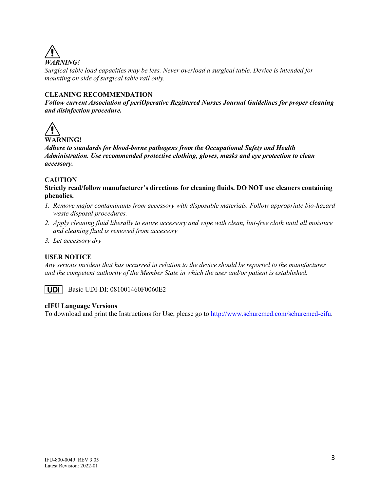

*Surgical table load capacities may be less. Never overload a surgical table. Device is intended for mounting on side of surgical table rail only.*

## **CLEANING RECOMMENDATION**

*Follow current Association of periOperative Registered Nurses Journal Guidelines for proper cleaning and disinfection procedure.*



*Adhere to standards for blood-borne pathogens from the Occupational Safety and Health Administration. Use recommended protective clothing, gloves, masks and eye protection to clean accessory.*

## **CAUTION**

**Strictly read/follow manufacturer's directions for cleaning fluids. DO NOT use cleaners containing phenolics.**

- *1. Remove major contaminants from accessory with disposable materials. Follow appropriate bio-hazard waste disposal procedures.*
- *2. Apply cleaning fluid liberally to entire accessory and wipe with clean, lint-free cloth until all moisture and cleaning fluid is removed from accessory*
- *3. Let accessory dry*

#### **USER NOTICE**

*Any serious incident that has occurred in relation to the device should be reported to the manufacturer and the competent authority of the Member State in which the user and/or patient is established.*



Basic UDI-DI: 081001460F0060E2

#### **eIFU Language Versions**

To download and print the Instructions for Use, please go to [http://www.schuremed.com/schuremed-eifu.](http://www.schuremed.com/schuremed-eifu)